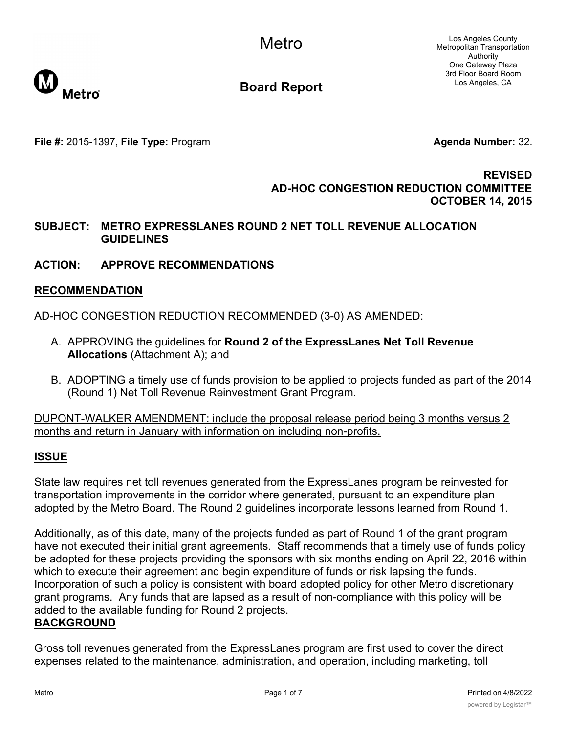Los Angeles County Metropolitan Transportation Authority One Gateway Plaza 3rd Floor Board Room Los Angeles, CA



**Board Report**

**File #:** 2015-1397, File Type: Program **Agents Agenda Number:** 32.

#### **REVISED AD-HOC CONGESTION REDUCTION COMMITTEE OCTOBER 14, 2015**

#### **SUBJECT: METRO EXPRESSLANES ROUND 2 NET TOLL REVENUE ALLOCATION GUIDELINES**

**ACTION: APPROVE RECOMMENDATIONS**

### **RECOMMENDATION**

AD-HOC CONGESTION REDUCTION RECOMMENDED (3-0) AS AMENDED:

- A. APPROVING the guidelines for **Round 2 of the ExpressLanes Net Toll Revenue Allocations** (Attachment A); and
- B. ADOPTING a timely use of funds provision to be applied to projects funded as part of the 2014 (Round 1) Net Toll Revenue Reinvestment Grant Program.

DUPONT-WALKER AMENDMENT: include the proposal release period being 3 months versus 2 months and return in January with information on including non-profits.

# **ISSUE**

State law requires net toll revenues generated from the ExpressLanes program be reinvested for transportation improvements in the corridor where generated, pursuant to an expenditure plan adopted by the Metro Board. The Round 2 guidelines incorporate lessons learned from Round 1.

Additionally, as of this date, many of the projects funded as part of Round 1 of the grant program have not executed their initial grant agreements. Staff recommends that a timely use of funds policy be adopted for these projects providing the sponsors with six months ending on April 22, 2016 within which to execute their agreement and begin expenditure of funds or risk lapsing the funds. Incorporation of such a policy is consistent with board adopted policy for other Metro discretionary grant programs. Any funds that are lapsed as a result of non-compliance with this policy will be added to the available funding for Round 2 projects. **BACKGROUND**

Gross toll revenues generated from the ExpressLanes program are first used to cover the direct expenses related to the maintenance, administration, and operation, including marketing, toll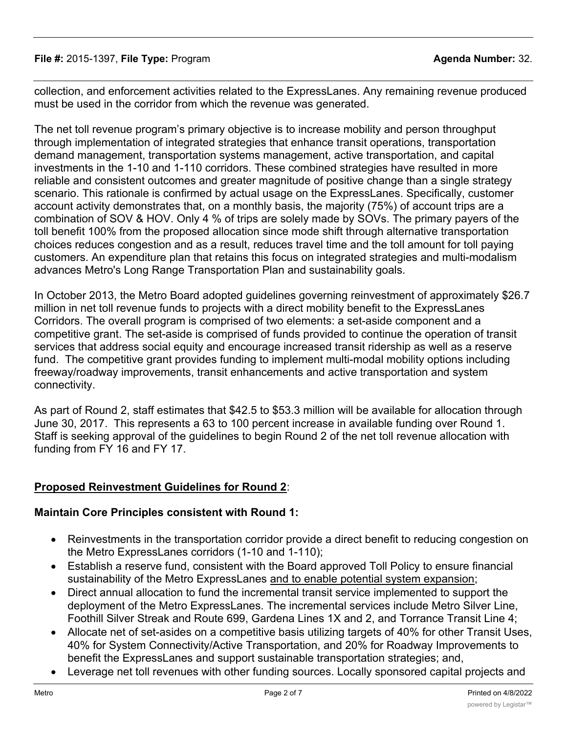#### **File #:** 2015-1397, **File Type:** Program **Agenda Number:** 32.

collection, and enforcement activities related to the ExpressLanes. Any remaining revenue produced must be used in the corridor from which the revenue was generated.

The net toll revenue program's primary objective is to increase mobility and person throughput through implementation of integrated strategies that enhance transit operations, transportation demand management, transportation systems management, active transportation, and capital investments in the 1-10 and 1-110 corridors. These combined strategies have resulted in more reliable and consistent outcomes and greater magnitude of positive change than a single strategy scenario. This rationale is confirmed by actual usage on the ExpressLanes. Specifically, customer account activity demonstrates that, on a monthly basis, the majority (75%) of account trips are a combination of SOV & HOV. Only 4 % of trips are solely made by SOVs. The primary payers of the toll benefit 100% from the proposed allocation since mode shift through alternative transportation choices reduces congestion and as a result, reduces travel time and the toll amount for toll paying customers. An expenditure plan that retains this focus on integrated strategies and multi-modalism advances Metro's Long Range Transportation Plan and sustainability goals.

In October 2013, the Metro Board adopted guidelines governing reinvestment of approximately \$26.7 million in net toll revenue funds to projects with a direct mobility benefit to the ExpressLanes Corridors. The overall program is comprised of two elements: a set-aside component and a competitive grant. The set-aside is comprised of funds provided to continue the operation of transit services that address social equity and encourage increased transit ridership as well as a reserve fund. The competitive grant provides funding to implement multi-modal mobility options including freeway/roadway improvements, transit enhancements and active transportation and system connectivity.

As part of Round 2, staff estimates that \$42.5 to \$53.3 million will be available for allocation through June 30, 2017. This represents a 63 to 100 percent increase in available funding over Round 1. Staff is seeking approval of the guidelines to begin Round 2 of the net toll revenue allocation with funding from FY 16 and FY 17.

#### **Proposed Reinvestment Guidelines for Round 2**:

#### **Maintain Core Principles consistent with Round 1:**

- Reinvestments in the transportation corridor provide a direct benefit to reducing congestion on the Metro ExpressLanes corridors (1-10 and 1-110);
- Establish a reserve fund, consistent with the Board approved Toll Policy to ensure financial sustainability of the Metro ExpressLanes and to enable potential system expansion;
- · Direct annual allocation to fund the incremental transit service implemented to support the deployment of the Metro ExpressLanes. The incremental services include Metro Silver Line, Foothill Silver Streak and Route 699, Gardena Lines 1X and 2, and Torrance Transit Line 4;
- · Allocate net of set-asides on a competitive basis utilizing targets of 40% for other Transit Uses, 40% for System Connectivity/Active Transportation, and 20% for Roadway Improvements to benefit the ExpressLanes and support sustainable transportation strategies; and,
- Leverage net toll revenues with other funding sources. Locally sponsored capital projects and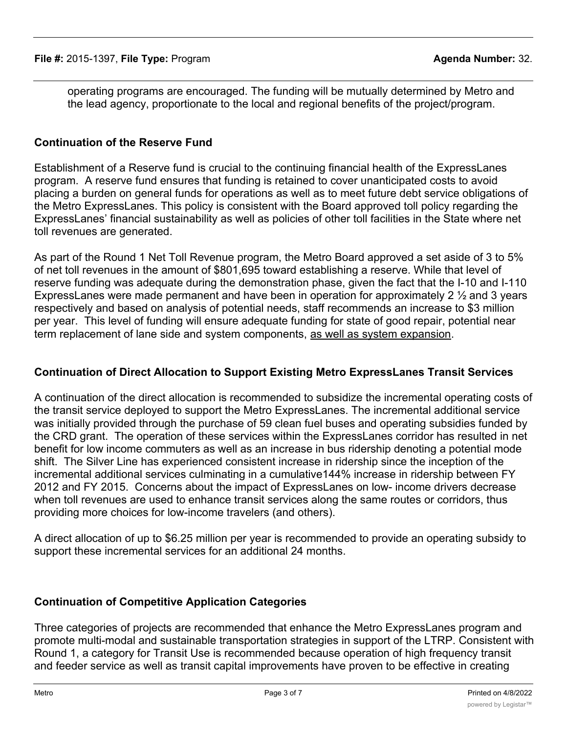operating programs are encouraged. The funding will be mutually determined by Metro and the lead agency, proportionate to the local and regional benefits of the project/program.

#### **Continuation of the Reserve Fund**

Establishment of a Reserve fund is crucial to the continuing financial health of the ExpressLanes program. A reserve fund ensures that funding is retained to cover unanticipated costs to avoid placing a burden on general funds for operations as well as to meet future debt service obligations of the Metro ExpressLanes. This policy is consistent with the Board approved toll policy regarding the ExpressLanes' financial sustainability as well as policies of other toll facilities in the State where net toll revenues are generated.

As part of the Round 1 Net Toll Revenue program, the Metro Board approved a set aside of 3 to 5% of net toll revenues in the amount of \$801,695 toward establishing a reserve. While that level of reserve funding was adequate during the demonstration phase, given the fact that the I-10 and I-110 ExpressLanes were made permanent and have been in operation for approximately 2 ½ and 3 years respectively and based on analysis of potential needs, staff recommends an increase to \$3 million per year. This level of funding will ensure adequate funding for state of good repair, potential near term replacement of lane side and system components, as well as system expansion.

#### **Continuation of Direct Allocation to Support Existing Metro ExpressLanes Transit Services**

A continuation of the direct allocation is recommended to subsidize the incremental operating costs of the transit service deployed to support the Metro ExpressLanes. The incremental additional service was initially provided through the purchase of 59 clean fuel buses and operating subsidies funded by the CRD grant. The operation of these services within the ExpressLanes corridor has resulted in net benefit for low income commuters as well as an increase in bus ridership denoting a potential mode shift. The Silver Line has experienced consistent increase in ridership since the inception of the incremental additional services culminating in a cumulative144% increase in ridership between FY 2012 and FY 2015. Concerns about the impact of ExpressLanes on low- income drivers decrease when toll revenues are used to enhance transit services along the same routes or corridors, thus providing more choices for low-income travelers (and others).

A direct allocation of up to \$6.25 million per year is recommended to provide an operating subsidy to support these incremental services for an additional 24 months.

#### **Continuation of Competitive Application Categories**

Three categories of projects are recommended that enhance the Metro ExpressLanes program and promote multi-modal and sustainable transportation strategies in support of the LTRP. Consistent with Round 1, a category for Transit Use is recommended because operation of high frequency transit and feeder service as well as transit capital improvements have proven to be effective in creating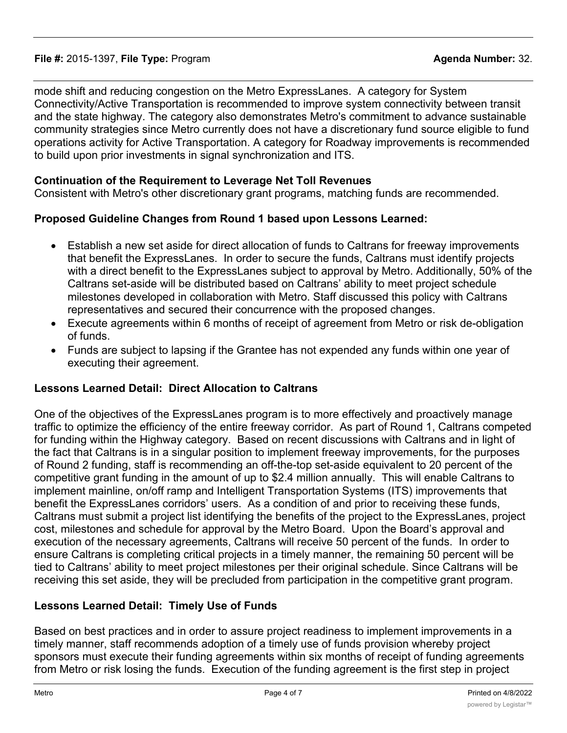mode shift and reducing congestion on the Metro ExpressLanes. A category for System Connectivity/Active Transportation is recommended to improve system connectivity between transit and the state highway. The category also demonstrates Metro's commitment to advance sustainable community strategies since Metro currently does not have a discretionary fund source eligible to fund operations activity for Active Transportation. A category for Roadway improvements is recommended to build upon prior investments in signal synchronization and ITS.

### **Continuation of the Requirement to Leverage Net Toll Revenues**

Consistent with Metro's other discretionary grant programs, matching funds are recommended.

### **Proposed Guideline Changes from Round 1 based upon Lessons Learned:**

- · Establish a new set aside for direct allocation of funds to Caltrans for freeway improvements that benefit the ExpressLanes. In order to secure the funds, Caltrans must identify projects with a direct benefit to the ExpressLanes subject to approval by Metro. Additionally, 50% of the Caltrans set-aside will be distributed based on Caltrans' ability to meet project schedule milestones developed in collaboration with Metro. Staff discussed this policy with Caltrans representatives and secured their concurrence with the proposed changes.
- Execute agreements within 6 months of receipt of agreement from Metro or risk de-obligation of funds.
- · Funds are subject to lapsing if the Grantee has not expended any funds within one year of executing their agreement.

# **Lessons Learned Detail: Direct Allocation to Caltrans**

One of the objectives of the ExpressLanes program is to more effectively and proactively manage traffic to optimize the efficiency of the entire freeway corridor. As part of Round 1, Caltrans competed for funding within the Highway category. Based on recent discussions with Caltrans and in light of the fact that Caltrans is in a singular position to implement freeway improvements, for the purposes of Round 2 funding, staff is recommending an off-the-top set-aside equivalent to 20 percent of the competitive grant funding in the amount of up to \$2.4 million annually. This will enable Caltrans to implement mainline, on/off ramp and Intelligent Transportation Systems (ITS) improvements that benefit the ExpressLanes corridors' users. As a condition of and prior to receiving these funds, Caltrans must submit a project list identifying the benefits of the project to the ExpressLanes, project cost, milestones and schedule for approval by the Metro Board. Upon the Board's approval and execution of the necessary agreements, Caltrans will receive 50 percent of the funds. In order to ensure Caltrans is completing critical projects in a timely manner, the remaining 50 percent will be tied to Caltrans' ability to meet project milestones per their original schedule. Since Caltrans will be receiving this set aside, they will be precluded from participation in the competitive grant program.

# **Lessons Learned Detail: Timely Use of Funds**

Based on best practices and in order to assure project readiness to implement improvements in a timely manner, staff recommends adoption of a timely use of funds provision whereby project sponsors must execute their funding agreements within six months of receipt of funding agreements from Metro or risk losing the funds. Execution of the funding agreement is the first step in project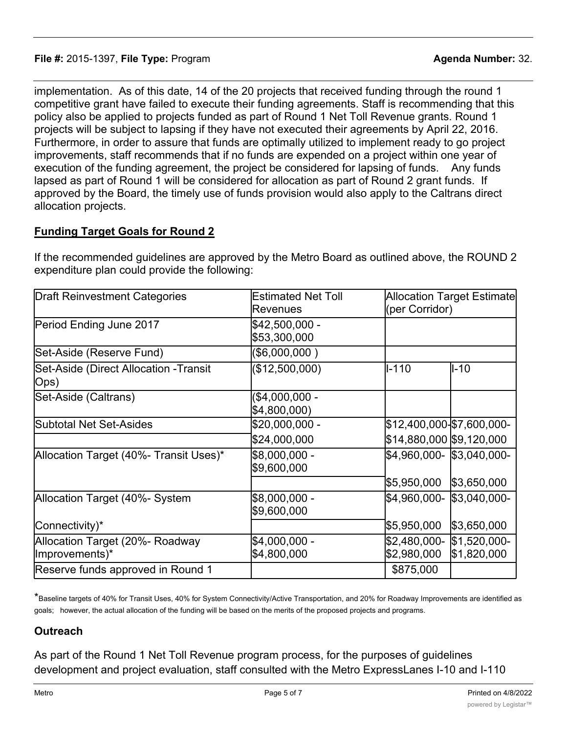implementation. As of this date, 14 of the 20 projects that received funding through the round 1 competitive grant have failed to execute their funding agreements. Staff is recommending that this policy also be applied to projects funded as part of Round 1 Net Toll Revenue grants. Round 1 projects will be subject to lapsing if they have not executed their agreements by April 22, 2016. Furthermore, in order to assure that funds are optimally utilized to implement ready to go project improvements, staff recommends that if no funds are expended on a project within one year of execution of the funding agreement, the project be considered for lapsing of funds. Any funds lapsed as part of Round 1 will be considered for allocation as part of Round 2 grant funds. If approved by the Board, the timely use of funds provision would also apply to the Caltrans direct allocation projects.

# **Funding Target Goals for Round 2**

| <b>Draft Reinvestment Categories</b>              | <b>Estimated Net Toll</b><br>Revenues | <b>Allocation Target Estimate</b><br>(per Corridor) |             |
|---------------------------------------------------|---------------------------------------|-----------------------------------------------------|-------------|
| Period Ending June 2017                           | \$42,500,000 -<br>\$53,300,000        |                                                     |             |
| Set-Aside (Reserve Fund)                          | (\$6,000,000)                         |                                                     |             |
| Set-Aside (Direct Allocation -Transit<br> Ops)    | (\$12,500,000)                        | $I - 110$                                           | ll-10       |
| Set-Aside (Caltrans)                              | (\$4,000,000 -<br>\$4,800,000)        |                                                     |             |
| Subtotal Net Set-Asides                           | \$20,000,000 -                        | \$12,400,000-\$7,600,000-                           |             |
|                                                   | \$24,000,000                          | \$14,880,000  \$9,120,000                           |             |
| Allocation Target (40%- Transit Uses)*            | \$8,000,000 -<br>\$9,600,000          | \$4,960,000- \$3,040,000-                           |             |
|                                                   |                                       | \$5,950,000                                         | \$3,650,000 |
| Allocation Target (40%- System                    | \$8,000,000 -<br>\$9,600,000          | \$4,960,000-  \$3,040,000-                          |             |
| Connectivity)*                                    |                                       | \$5,950,000                                         | \$3,650,000 |
| Allocation Target (20%- Roadway<br>Improvements)* | \$4,000,000 -<br>\$4,800,000          | \$2,480,000-  \$1,520,000-<br>\$2,980,000           | \$1,820,000 |
| Reserve funds approved in Round 1                 |                                       | \$875,000                                           |             |

If the recommended guidelines are approved by the Metro Board as outlined above, the ROUND 2 expenditure plan could provide the following:

\*Baseline targets of 40% for Transit Uses, 40% for System Connectivity/Active Transportation, and 20% for Roadway Improvements are identified as goals; however, the actual allocation of the funding will be based on the merits of the proposed projects and programs.

# **Outreach**

As part of the Round 1 Net Toll Revenue program process, for the purposes of guidelines development and project evaluation, staff consulted with the Metro ExpressLanes I-10 and I-110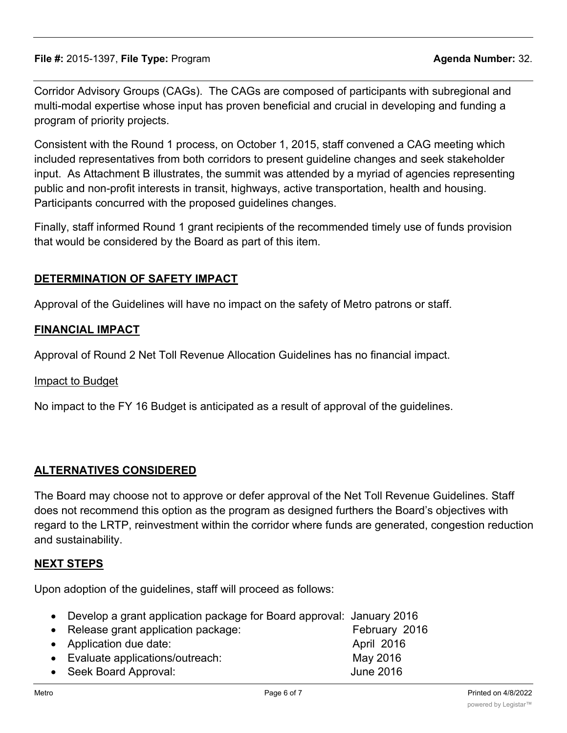Corridor Advisory Groups (CAGs). The CAGs are composed of participants with subregional and multi-modal expertise whose input has proven beneficial and crucial in developing and funding a program of priority projects.

Consistent with the Round 1 process, on October 1, 2015, staff convened a CAG meeting which included representatives from both corridors to present guideline changes and seek stakeholder input. As Attachment B illustrates, the summit was attended by a myriad of agencies representing public and non-profit interests in transit, highways, active transportation, health and housing. Participants concurred with the proposed guidelines changes.

Finally, staff informed Round 1 grant recipients of the recommended timely use of funds provision that would be considered by the Board as part of this item.

# **DETERMINATION OF SAFETY IMPACT**

Approval of the Guidelines will have no impact on the safety of Metro patrons or staff.

# **FINANCIAL IMPACT**

Approval of Round 2 Net Toll Revenue Allocation Guidelines has no financial impact.

#### Impact to Budget

No impact to the FY 16 Budget is anticipated as a result of approval of the guidelines.

# **ALTERNATIVES CONSIDERED**

The Board may choose not to approve or defer approval of the Net Toll Revenue Guidelines. Staff does not recommend this option as the program as designed furthers the Board's objectives with regard to the LRTP, reinvestment within the corridor where funds are generated, congestion reduction and sustainability.

# **NEXT STEPS**

Upon adoption of the guidelines, staff will proceed as follows:

- · Develop a grant application package for Board approval: January 2016
- Release grant application package: February 2016 · Application due date: April 2016 · Evaluate applications/outreach: May 2016 · Seek Board Approval: June 2016